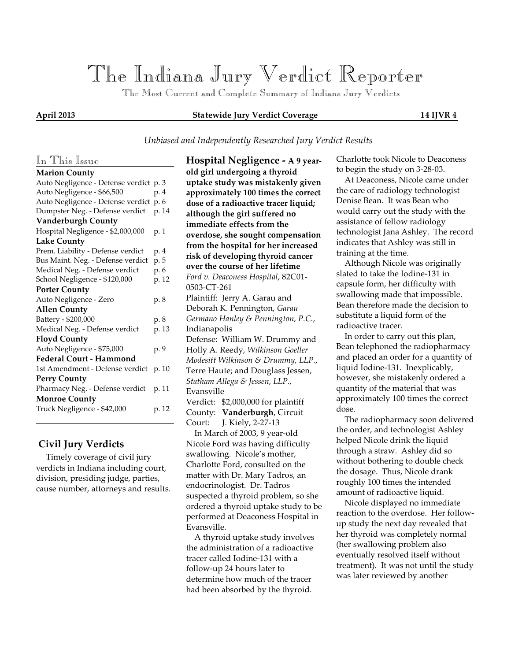# *The Indiana Jury Verdict Reporter*

 *The Most Current and Complete Summary of Indiana Jury Verdicts*

### **April 2013 Statewide Jury Verdict Coverage 14 IJVR 4**

### *Unbiased and Independently Researched Jury Verdict Results*

## *In This Issue*

| <b>Marion County</b>                   |      |       |
|----------------------------------------|------|-------|
| Auto Negligence - Defense verdict p. 3 |      |       |
| Auto Negligence - \$66,500             | p. 4 |       |
| Auto Negligence - Defense verdict      | p. 6 |       |
| Dumpster Neg. - Defense verdict        |      | p. 14 |
| <b>Vanderburgh County</b>              |      |       |
| Hospital Negligence - \$2,000,000      | p. 1 |       |
| <b>Lake County</b>                     |      |       |
| Prem. Liability - Defense verdict      | p. 4 |       |
| Bus Maint. Neg. - Defense verdict      | p. 5 |       |
| Medical Neg. - Defense verdict         | p. 6 |       |
| School Negligence - \$120,000          |      | p. 12 |
| <b>Porter County</b>                   |      |       |
| Auto Negligence - Zero                 | p. 8 |       |
| <b>Allen County</b>                    |      |       |
| Battery - \$200,000                    | p. 8 |       |
| Medical Neg. - Defense verdict         |      | p. 13 |
| <b>Floyd County</b>                    |      |       |
| Auto Negligence - \$75,000             | p. 9 |       |
| <b>Federal Court - Hammond</b>         |      |       |
| 1st Amendment - Defense verdict        |      | p. 10 |
| <b>Perry County</b>                    |      |       |
| Pharmacy Neg. - Defense verdict        |      | p. 11 |
| <b>Monroe County</b>                   |      |       |
| Truck Negligence - \$42,000            |      | p. 12 |
|                                        |      |       |

# **Civil Jury Verdicts**

 Timely coverage of civil jury verdicts in Indiana including court, division, presiding judge, parties, cause number, attorneys and results. **Hospital Negligence - A 9 yearold girl undergoing a thyroid uptake study was mistakenly given approximately 100 times the correct dose of a radioactive tracer liquid; although the girl suffered no immediate effects from the overdose, she sought compensation from the hospital for her increased risk of developing thyroid cancer over the course of her lifetime** *Ford v. Deaconess Hospital*, 82C01- 0503-CT-261 Plaintiff: Jerry A. Garau and Deborah K. Pennington, *Garau Germano Hanley & Pennington, P.C.*, Indianapolis Defense: William W. Drummy and Holly A. Reedy, *Wilkinson Goeller Modesitt Wilkinson & Drummy, LLP.*, Terre Haute; and Douglass Jessen, *Statham Allega & Jessen, LLP.*, Evansville Verdict: \$2,000,000 for plaintiff County: **Vanderburgh**, Circuit Court: J. Kiely, 2-27-13 In March of 2003, 9 year-old Nicole Ford was having difficulty swallowing. Nicole's mother, Charlotte Ford, consulted on the matter with Dr. Mary Tadros, an endocrinologist. Dr. Tadros suspected a thyroid problem, so she ordered a thyroid uptake study to be performed at Deaconess Hospital in Evansville.

 A thyroid uptake study involves the administration of a radioactive tracer called Iodine-131 with a follow-up 24 hours later to determine how much of the tracer had been absorbed by the thyroid.

Charlotte took Nicole to Deaconess to begin the study on 3-28-03.

 At Deaconess, Nicole came under the care of radiology technologist Denise Bean. It was Bean who would carry out the study with the assistance of fellow radiology technologist Jana Ashley. The record indicates that Ashley was still in training at the time.

 Although Nicole was originally slated to take the Iodine-131 in capsule form, her difficulty with swallowing made that impossible. Bean therefore made the decision to substitute a liquid form of the radioactive tracer.

 In order to carry out this plan, Bean telephoned the radiopharmacy and placed an order for a quantity of liquid Iodine-131. Inexplicably, however, she mistakenly ordered a quantity of the material that was approximately 100 times the correct dose.

 The radiopharmacy soon delivered the order, and technologist Ashley helped Nicole drink the liquid through a straw. Ashley did so without bothering to double check the dosage. Thus, Nicole drank roughly 100 times the intended amount of radioactive liquid.

 Nicole displayed no immediate reaction to the overdose. Her followup study the next day revealed that her thyroid was completely normal (her swallowing problem also eventually resolved itself without treatment). It was not until the study was later reviewed by another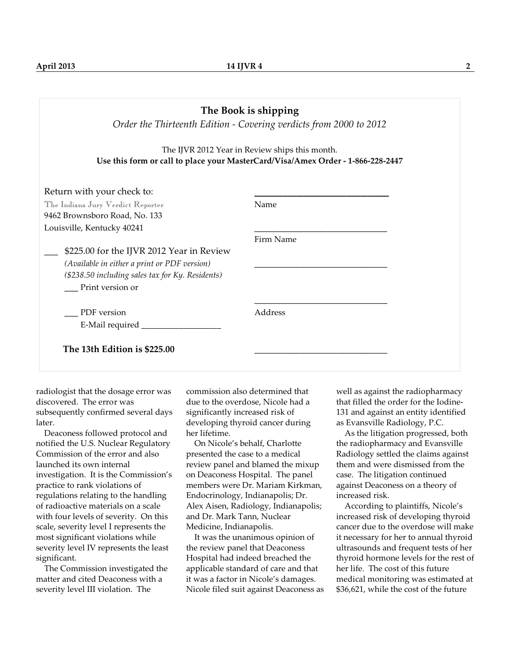|                                                                                                                                                                   | The Book is shipping<br>Order the Thirteenth Edition - Covering verdicts from 2000 to 2012                                        |
|-------------------------------------------------------------------------------------------------------------------------------------------------------------------|-----------------------------------------------------------------------------------------------------------------------------------|
|                                                                                                                                                                   | The IJVR 2012 Year in Review ships this month.<br>Use this form or call to place your MasterCard/Visa/Amex Order - 1-866-228-2447 |
| Return with your check to:                                                                                                                                        |                                                                                                                                   |
| The Indiana Jury Verdict Reporter<br>9462 Brownsboro Road, No. 133                                                                                                | Name                                                                                                                              |
| Louisville, Kentucky 40241                                                                                                                                        | Firm Name                                                                                                                         |
| \$225.00 for the IJVR 2012 Year in Review<br>(Available in either a print or PDF version)<br>(\$238.50 including sales tax for Ky. Residents)<br>Print version or |                                                                                                                                   |
| PDF version<br>E-Mail required __________                                                                                                                         | Address                                                                                                                           |
| The 13th Edition is \$225.00                                                                                                                                      |                                                                                                                                   |

radiologist that the dosage error was discovered. The error was subsequently confirmed several days later.

 Deaconess followed protocol and notified the U.S. Nuclear Regulatory Commission of the error and also launched its own internal investigation. It is the Commission's practice to rank violations of regulations relating to the handling of radioactive materials on a scale with four levels of severity. On this scale, severity level I represents the most significant violations while severity level IV represents the least significant.

 The Commission investigated the matter and cited Deaconess with a severity level III violation. The

commission also determined that due to the overdose, Nicole had a significantly increased risk of developing thyroid cancer during her lifetime.

 On Nicole's behalf, Charlotte presented the case to a medical review panel and blamed the mixup on Deaconess Hospital. The panel members were Dr. Mariam Kirkman, Endocrinology, Indianapolis; Dr. Alex Aisen, Radiology, Indianapolis; and Dr. Mark Tann, Nuclear Medicine, Indianapolis.

 It was the unanimous opinion of the review panel that Deaconess Hospital had indeed breached the applicable standard of care and that it was a factor in Nicole's damages. Nicole filed suit against Deaconess as well as against the radiopharmacy that filled the order for the Iodine-131 and against an entity identified as Evansville Radiology, P.C.

 As the litigation progressed, both the radiopharmacy and Evansville Radiology settled the claims against them and were dismissed from the case. The litigation continued against Deaconess on a theory of increased risk.

 According to plaintiffs, Nicole's increased risk of developing thyroid cancer due to the overdose will make it necessary for her to annual thyroid ultrasounds and frequent tests of her thyroid hormone levels for the rest of her life. The cost of this future medical monitoring was estimated at \$36,621, while the cost of the future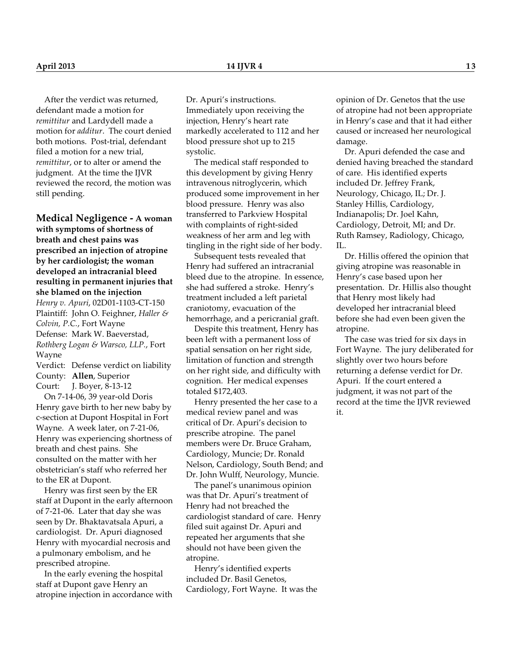After the verdict was returned, defendant made a motion for *remittitur* and Lardydell made a motion for *additur*. The court denied both motions. Post-trial, defendant filed a motion for a new trial, *remittitur*, or to alter or amend the judgment. At the time the IJVR reviewed the record, the motion was still pending.

**Medical Negligence - A woman with symptoms of shortness of breath and chest pains was prescribed an injection of atropine by her cardiologist; the woman developed an intracranial bleed resulting in permanent injuries that she blamed on the injection** *Henry v. Apuri*, 02D01-1103-CT-150 Plaintiff: John O. Feighner, *Haller & Colvin, P.C.*, Fort Wayne Defense: Mark W. Baeverstad, *Rothberg Logan & Warsco, LLP.*, Fort Wayne

Verdict: Defense verdict on liability County: **Allen**, Superior Court: J. Boyer, 8-13-12

 On 7-14-06, 39 year-old Doris Henry gave birth to her new baby by c-section at Dupont Hospital in Fort Wayne. A week later, on 7-21-06, Henry was experiencing shortness of breath and chest pains. She consulted on the matter with her obstetrician's staff who referred her to the ER at Dupont.

 Henry was first seen by the ER staff at Dupont in the early afternoon of 7-21-06. Later that day she was seen by Dr. Bhaktavatsala Apuri, a cardiologist. Dr. Apuri diagnosed Henry with myocardial necrosis and a pulmonary embolism, and he prescribed atropine.

 In the early evening the hospital staff at Dupont gave Henry an atropine injection in accordance with Dr. Apuri's instructions. Immediately upon receiving the injection, Henry's heart rate markedly accelerated to 112 and her blood pressure shot up to 215 systolic.

 The medical staff responded to this development by giving Henry intravenous nitroglycerin, which produced some improvement in her blood pressure. Henry was also transferred to Parkview Hospital with complaints of right-sided weakness of her arm and leg with tingling in the right side of her body.

 Subsequent tests revealed that Henry had suffered an intracranial bleed due to the atropine. In essence, she had suffered a stroke. Henry's treatment included a left parietal craniotomy, evacuation of the hemorrhage, and a pericranial graft.

 Despite this treatment, Henry has been left with a permanent loss of spatial sensation on her right side, limitation of function and strength on her right side, and difficulty with cognition. Her medical expenses totaled \$172,403.

 Henry presented the her case to a medical review panel and was critical of Dr. Apuri's decision to prescribe atropine. The panel members were Dr. Bruce Graham, Cardiology, Muncie; Dr. Ronald Nelson, Cardiology, South Bend; and Dr. John Wulff, Neurology, Muncie.

 The panel's unanimous opinion was that Dr. Apuri's treatment of Henry had not breached the cardiologist standard of care. Henry filed suit against Dr. Apuri and repeated her arguments that she should not have been given the atropine.

 Henry's identified experts included Dr. Basil Genetos, Cardiology, Fort Wayne. It was the opinion of Dr. Genetos that the use of atropine had not been appropriate in Henry's case and that it had either caused or increased her neurological damage.

 Dr. Apuri defended the case and denied having breached the standard of care. His identified experts included Dr. Jeffrey Frank, Neurology, Chicago, IL; Dr. J. Stanley Hillis, Cardiology, Indianapolis; Dr. Joel Kahn, Cardiology, Detroit, MI; and Dr. Ruth Ramsey, Radiology, Chicago, IL.

 Dr. Hillis offered the opinion that giving atropine was reasonable in Henry's case based upon her presentation. Dr. Hillis also thought that Henry most likely had developed her intracranial bleed before she had even been given the atropine.

 The case was tried for six days in Fort Wayne. The jury deliberated for slightly over two hours before returning a defense verdict for Dr. Apuri. If the court entered a judgment, it was not part of the record at the time the IJVR reviewed it.